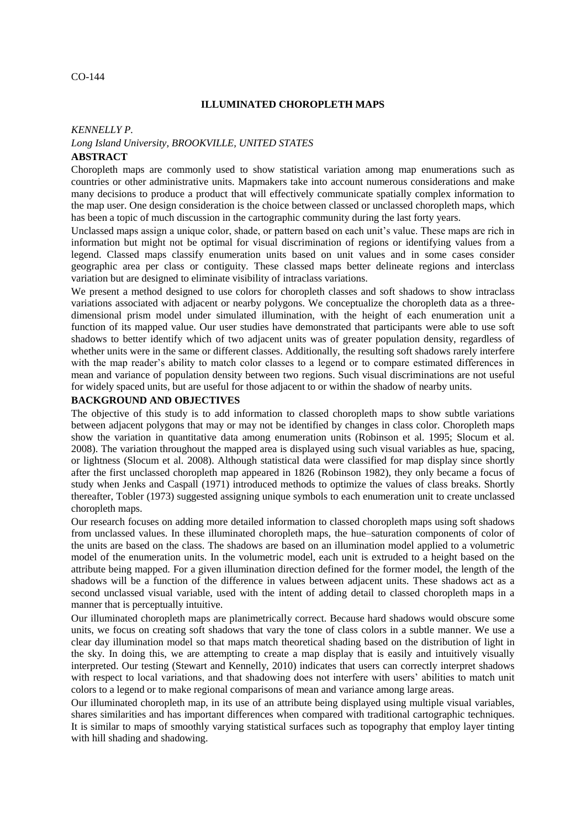### CO-144

### **ILLUMINATED CHOROPLETH MAPS**

#### *KENNELLY P.*

## *Long Island University, BROOKVILLE, UNITED STATES* **ABSTRACT**

Choropleth maps are commonly used to show statistical variation among map enumerations such as countries or other administrative units. Mapmakers take into account numerous considerations and make many decisions to produce a product that will effectively communicate spatially complex information to the map user. One design consideration is the choice between classed or unclassed choropleth maps, which has been a topic of much discussion in the cartographic community during the last forty years.

Unclassed maps assign a unique color, shade, or pattern based on each unit's value. These maps are rich in information but might not be optimal for visual discrimination of regions or identifying values from a legend. Classed maps classify enumeration units based on unit values and in some cases consider geographic area per class or contiguity. These classed maps better delineate regions and interclass variation but are designed to eliminate visibility of intraclass variations.

We present a method designed to use colors for choropleth classes and soft shadows to show intraclass variations associated with adjacent or nearby polygons. We conceptualize the choropleth data as a threedimensional prism model under simulated illumination, with the height of each enumeration unit a function of its mapped value. Our user studies have demonstrated that participants were able to use soft shadows to better identify which of two adjacent units was of greater population density, regardless of whether units were in the same or different classes. Additionally, the resulting soft shadows rarely interfere with the map reader's ability to match color classes to a legend or to compare estimated differences in mean and variance of population density between two regions. Such visual discriminations are not useful for widely spaced units, but are useful for those adjacent to or within the shadow of nearby units.

### **BACKGROUND AND OBJECTIVES**

The objective of this study is to add information to classed choropleth maps to show subtle variations between adjacent polygons that may or may not be identified by changes in class color. Choropleth maps show the variation in quantitative data among enumeration units (Robinson et al. 1995; Slocum et al. 2008). The variation throughout the mapped area is displayed using such visual variables as hue, spacing, or lightness (Slocum et al. 2008). Although statistical data were classified for map display since shortly after the first unclassed choropleth map appeared in 1826 (Robinson 1982), they only became a focus of study when Jenks and Caspall (1971) introduced methods to optimize the values of class breaks. Shortly thereafter, Tobler (1973) suggested assigning unique symbols to each enumeration unit to create unclassed choropleth maps.

Our research focuses on adding more detailed information to classed choropleth maps using soft shadows from unclassed values. In these illuminated choropleth maps, the hue–saturation components of color of the units are based on the class. The shadows are based on an illumination model applied to a volumetric model of the enumeration units. In the volumetric model, each unit is extruded to a height based on the attribute being mapped. For a given illumination direction defined for the former model, the length of the shadows will be a function of the difference in values between adjacent units. These shadows act as a second unclassed visual variable, used with the intent of adding detail to classed choropleth maps in a manner that is perceptually intuitive.

Our illuminated choropleth maps are planimetrically correct. Because hard shadows would obscure some units, we focus on creating soft shadows that vary the tone of class colors in a subtle manner. We use a clear day illumination model so that maps match theoretical shading based on the distribution of light in the sky. In doing this, we are attempting to create a map display that is easily and intuitively visually interpreted. Our testing (Stewart and Kennelly, 2010) indicates that users can correctly interpret shadows with respect to local variations, and that shadowing does not interfere with users' abilities to match unit colors to a legend or to make regional comparisons of mean and variance among large areas.

Our illuminated choropleth map, in its use of an attribute being displayed using multiple visual variables, shares similarities and has important differences when compared with traditional cartographic techniques. It is similar to maps of smoothly varying statistical surfaces such as topography that employ layer tinting with hill shading and shadowing.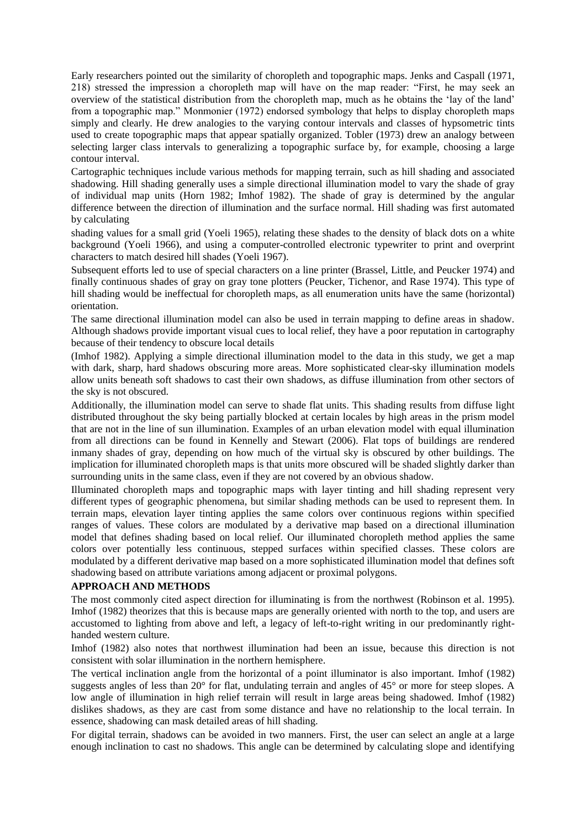Early researchers pointed out the similarity of choropleth and topographic maps. Jenks and Caspall (1971, 218) stressed the impression a choropleth map will have on the map reader: "First, he may seek an overview of the statistical distribution from the choropleth map, much as he obtains the ‗lay of the land' from a topographic map." Monmonier (1972) endorsed symbology that helps to display choropleth maps simply and clearly. He drew analogies to the varying contour intervals and classes of hypsometric tints used to create topographic maps that appear spatially organized. Tobler (1973) drew an analogy between selecting larger class intervals to generalizing a topographic surface by, for example, choosing a large contour interval.

Cartographic techniques include various methods for mapping terrain, such as hill shading and associated shadowing. Hill shading generally uses a simple directional illumination model to vary the shade of gray of individual map units (Horn 1982; Imhof 1982). The shade of gray is determined by the angular difference between the direction of illumination and the surface normal. Hill shading was first automated by calculating

shading values for a small grid (Yoeli 1965), relating these shades to the density of black dots on a white background (Yoeli 1966), and using a computer-controlled electronic typewriter to print and overprint characters to match desired hill shades (Yoeli 1967).

Subsequent efforts led to use of special characters on a line printer (Brassel, Little, and Peucker 1974) and finally continuous shades of gray on gray tone plotters (Peucker, Tichenor, and Rase 1974). This type of hill shading would be ineffectual for choropleth maps, as all enumeration units have the same (horizontal) orientation.

The same directional illumination model can also be used in terrain mapping to define areas in shadow. Although shadows provide important visual cues to local relief, they have a poor reputation in cartography because of their tendency to obscure local details

(Imhof 1982). Applying a simple directional illumination model to the data in this study, we get a map with dark, sharp, hard shadows obscuring more areas. More sophisticated clear-sky illumination models allow units beneath soft shadows to cast their own shadows, as diffuse illumination from other sectors of the sky is not obscured.

Additionally, the illumination model can serve to shade flat units. This shading results from diffuse light distributed throughout the sky being partially blocked at certain locales by high areas in the prism model that are not in the line of sun illumination. Examples of an urban elevation model with equal illumination from all directions can be found in Kennelly and Stewart (2006). Flat tops of buildings are rendered inmany shades of gray, depending on how much of the virtual sky is obscured by other buildings. The implication for illuminated choropleth maps is that units more obscured will be shaded slightly darker than surrounding units in the same class, even if they are not covered by an obvious shadow.

Illuminated choropleth maps and topographic maps with layer tinting and hill shading represent very different types of geographic phenomena, but similar shading methods can be used to represent them. In terrain maps, elevation layer tinting applies the same colors over continuous regions within specified ranges of values. These colors are modulated by a derivative map based on a directional illumination model that defines shading based on local relief. Our illuminated choropleth method applies the same colors over potentially less continuous, stepped surfaces within specified classes. These colors are modulated by a different derivative map based on a more sophisticated illumination model that defines soft shadowing based on attribute variations among adjacent or proximal polygons.

## **APPROACH AND METHODS**

The most commonly cited aspect direction for illuminating is from the northwest (Robinson et al. 1995). Imhof (1982) theorizes that this is because maps are generally oriented with north to the top, and users are accustomed to lighting from above and left, a legacy of left-to-right writing in our predominantly righthanded western culture.

Imhof (1982) also notes that northwest illumination had been an issue, because this direction is not consistent with solar illumination in the northern hemisphere.

The vertical inclination angle from the horizontal of a point illuminator is also important. Imhof (1982) suggests angles of less than 20° for flat, undulating terrain and angles of 45° or more for steep slopes. A low angle of illumination in high relief terrain will result in large areas being shadowed. Imhof (1982) dislikes shadows, as they are cast from some distance and have no relationship to the local terrain. In essence, shadowing can mask detailed areas of hill shading.

For digital terrain, shadows can be avoided in two manners. First, the user can select an angle at a large enough inclination to cast no shadows. This angle can be determined by calculating slope and identifying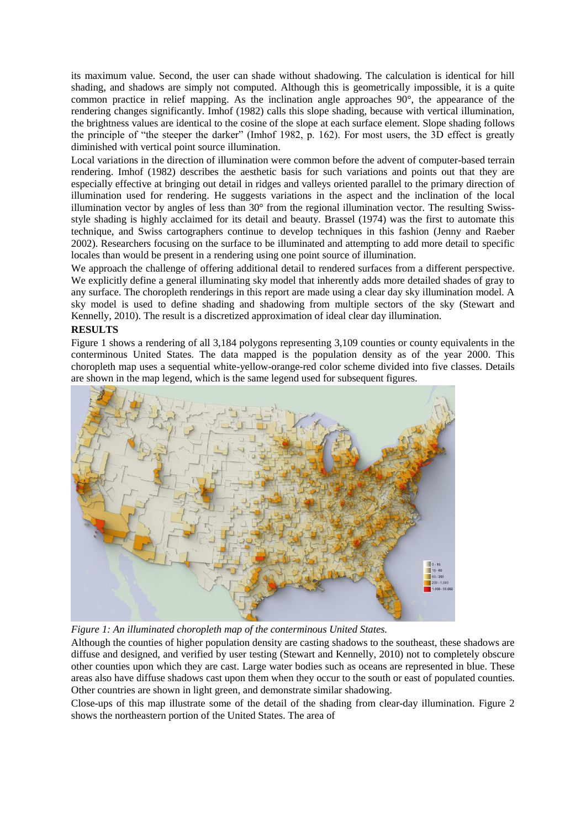its maximum value. Second, the user can shade without shadowing. The calculation is identical for hill shading, and shadows are simply not computed. Although this is geometrically impossible, it is a quite common practice in relief mapping. As the inclination angle approaches 90°, the appearance of the rendering changes significantly. Imhof (1982) calls this slope shading, because with vertical illumination, the brightness values are identical to the cosine of the slope at each surface element. Slope shading follows the principle of "the steeper the darker" (Imhof 1982, p. 162). For most users, the 3D effect is greatly diminished with vertical point source illumination.

Local variations in the direction of illumination were common before the advent of computer-based terrain rendering. Imhof (1982) describes the aesthetic basis for such variations and points out that they are especially effective at bringing out detail in ridges and valleys oriented parallel to the primary direction of illumination used for rendering. He suggests variations in the aspect and the inclination of the local illumination vector by angles of less than 30° from the regional illumination vector. The resulting Swissstyle shading is highly acclaimed for its detail and beauty. Brassel (1974) was the first to automate this technique, and Swiss cartographers continue to develop techniques in this fashion (Jenny and Raeber 2002). Researchers focusing on the surface to be illuminated and attempting to add more detail to specific locales than would be present in a rendering using one point source of illumination.

We approach the challenge of offering additional detail to rendered surfaces from a different perspective. We explicitly define a general illuminating sky model that inherently adds more detailed shades of gray to any surface. The choropleth renderings in this report are made using a clear day sky illumination model. A sky model is used to define shading and shadowing from multiple sectors of the sky (Stewart and Kennelly, 2010). The result is a discretized approximation of ideal clear day illumination.

## **RESULTS**

Figure 1 shows a rendering of all 3,184 polygons representing 3,109 counties or county equivalents in the conterminous United States. The data mapped is the population density as of the year 2000. This choropleth map uses a sequential white-yellow-orange-red color scheme divided into five classes. Details are shown in the map legend, which is the same legend used for subsequent figures.



*Figure 1: An illuminated choropleth map of the conterminous United States.*

Although the counties of higher population density are casting shadows to the southeast, these shadows are diffuse and designed, and verified by user testing (Stewart and Kennelly, 2010) not to completely obscure other counties upon which they are cast. Large water bodies such as oceans are represented in blue. These areas also have diffuse shadows cast upon them when they occur to the south or east of populated counties. Other countries are shown in light green, and demonstrate similar shadowing.

Close-ups of this map illustrate some of the detail of the shading from clear-day illumination. Figure 2 shows the northeastern portion of the United States. The area of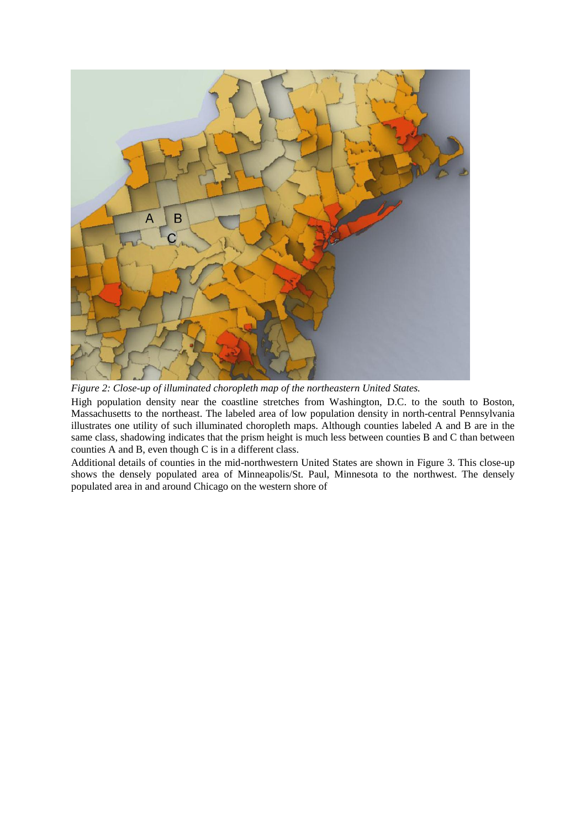

*Figure 2: Close-up of illuminated choropleth map of the northeastern United States.*

High population density near the coastline stretches from Washington, D.C. to the south to Boston, Massachusetts to the northeast. The labeled area of low population density in north-central Pennsylvania illustrates one utility of such illuminated choropleth maps. Although counties labeled A and B are in the same class, shadowing indicates that the prism height is much less between counties B and C than between counties A and B, even though C is in a different class.

Additional details of counties in the mid-northwestern United States are shown in Figure 3. This close-up shows the densely populated area of Minneapolis/St. Paul, Minnesota to the northwest. The densely populated area in and around Chicago on the western shore of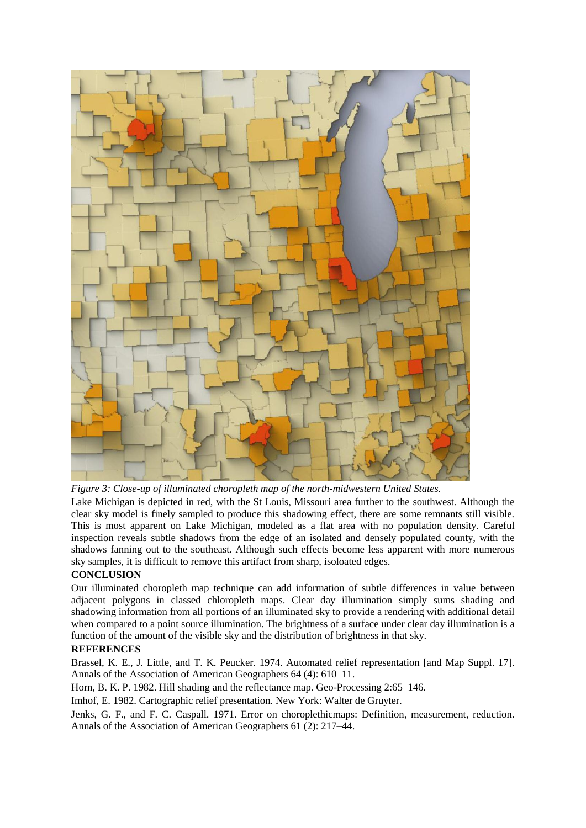

*Figure 3: Close-up of illuminated choropleth map of the north-midwestern United States.*

Lake Michigan is depicted in red, with the St Louis, Missouri area further to the southwest. Although the clear sky model is finely sampled to produce this shadowing effect, there are some remnants still visible. This is most apparent on Lake Michigan, modeled as a flat area with no population density. Careful inspection reveals subtle shadows from the edge of an isolated and densely populated county, with the shadows fanning out to the southeast. Although such effects become less apparent with more numerous sky samples, it is difficult to remove this artifact from sharp, isoloated edges.

# **CONCLUSION**

Our illuminated choropleth map technique can add information of subtle differences in value between adjacent polygons in classed chloropleth maps. Clear day illumination simply sums shading and shadowing information from all portions of an illuminated sky to provide a rendering with additional detail when compared to a point source illumination. The brightness of a surface under clear day illumination is a function of the amount of the visible sky and the distribution of brightness in that sky.

## **REFERENCES**

Brassel, K. E., J. Little, and T. K. Peucker. 1974. Automated relief representation [and Map Suppl. 17]. Annals of the Association of American Geographers 64 (4): 610–11.

Horn, B. K. P. 1982. Hill shading and the reflectance map. Geo-Processing 2:65–146.

Imhof, E. 1982. Cartographic relief presentation. New York: Walter de Gruyter.

Jenks, G. F., and F. C. Caspall. 1971. Error on choroplethicmaps: Definition, measurement, reduction. Annals of the Association of American Geographers 61 (2): 217–44.